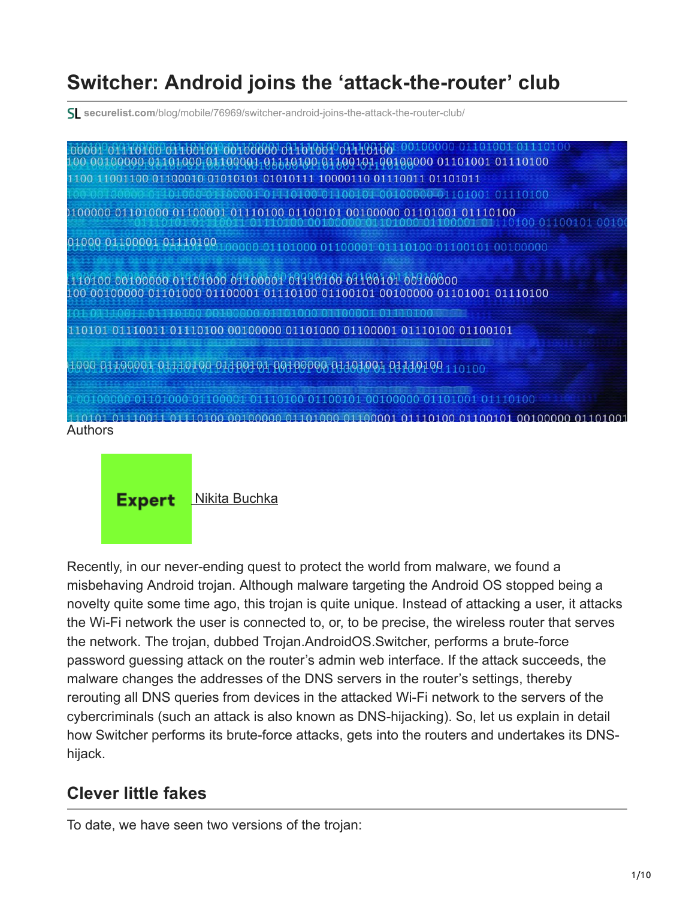# **Switcher: Android joins the 'attack-the-router' club**

**securelist.com**[/blog/mobile/76969/switcher-android-joins-the-attack-the-router-club/](https://securelist.com/blog/mobile/76969/switcher-android-joins-the-attack-the-router-club/)

1100 11001100 01100010 01010101 01010111 10000110 01110011 01101011 00 01100001 01110100 01100101 00100000 01101001 01110100 100000 01101000 01100001 01110100 01100101 00100000 01101001 01110100 0100000110000100111010001100101 01000 01100001 01110100 100000 01101000 01100001 01110100 01100101 00100000 110100 00100000 01101000 01100001 01110100 01100101 00100000 00 00100000 01101000 01100001 01110100 01100101 00100000 01101001 01110100 100 00100000 01101000 01100001 011101000 10101 01110011 01110100 00100000 01101000 01100001 01110100 01100101 1000 01100001 01110100 01100101 00100000 01101001 01110100 110100  $101000$   $01100001$   $01110100$   $01100101$   $00100000$   $01101001$   $01110100$ 10100 00100000 01101000 01100001 Authors

**Expert** [Nikita Buchka](https://securelist.com/author/nikitabuchka/)

Recently, in our never-ending quest to protect the world from malware, we found a misbehaving Android trojan. Although malware targeting the Android OS stopped being a novelty quite some time ago, this trojan is quite unique. Instead of attacking a user, it attacks the Wi-Fi network the user is connected to, or, to be precise, the wireless router that serves the network. The trojan, dubbed Trojan.AndroidOS.Switcher, performs a brute-force password guessing attack on the router's admin web interface. If the attack succeeds, the malware changes the addresses of the DNS servers in the router's settings, thereby rerouting all DNS queries from devices in the attacked Wi-Fi network to the servers of the cybercriminals (such an attack is also known as DNS-hijacking). So, let us explain in detail how Switcher performs its brute-force attacks, gets into the routers and undertakes its DNShijack.

#### **Clever little fakes**

To date, we have seen two versions of the trojan: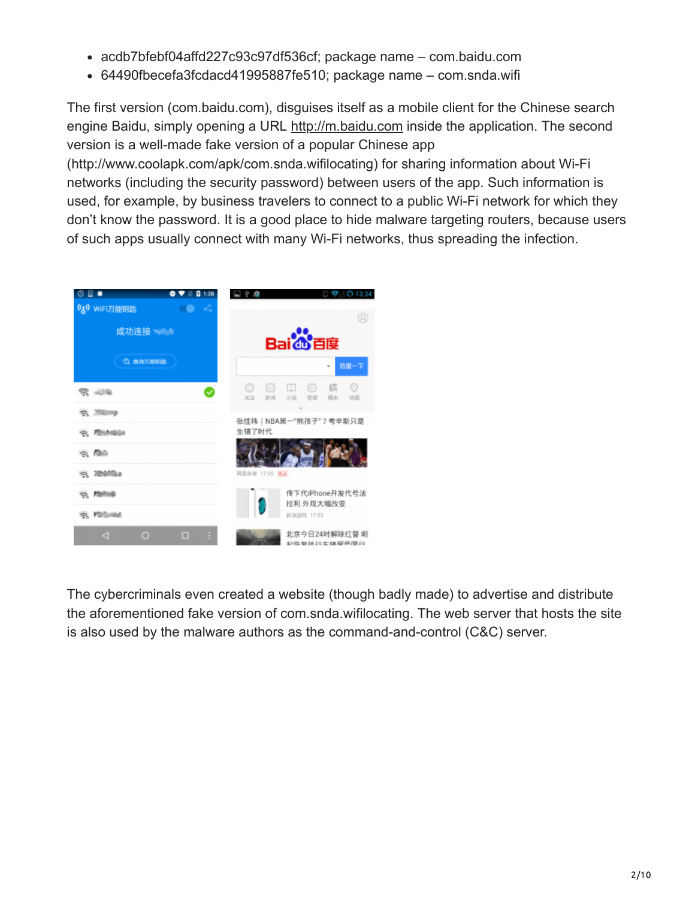- acdb7bfebf04affd227c93c97df536cf; package name com.baidu.com
- 64490fbecefa3fcdacd41995887fe510; package name com.snda.wifi

The first version (com.baidu.com), disguises itself as a mobile client for the Chinese search engine Baidu, simply opening a URL [http://m.baidu.com](http://m.baidu.com/) inside the application. The second version is a well-made fake version of a popular Chinese app

(http://www.coolapk.com/apk/com.snda.wifilocating) for sharing information about Wi-Fi networks (including the security password) between users of the app. Such information is used, for example, by business travelers to connect to a public Wi-Fi network for which they don't know the password. It is a good place to hide malware targeting routers, because users of such apps usually connect with many Wi-Fi networks, thus spreading the infection.



The cybercriminals even created a website (though badly made) to advertise and distribute the aforementioned fake version of com.snda.wifilocating. The web server that hosts the site is also used by the malware authors as the command-and-control (C&C) server.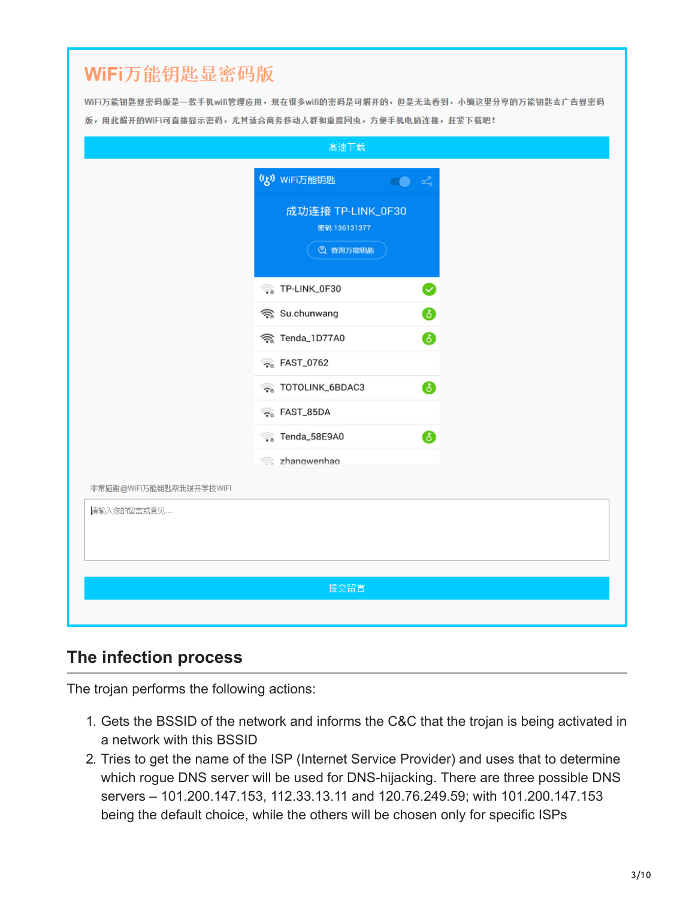## WiFi万能钥匙显密码版

WiFi万能钼匙显密码版是一款手机wifi管理应用,现在很多wifi的密码是可解开的,但是无法看到,小编这里分享的万能钼匙去广告显密码 版,用此解开的WiFi可直接显示密码,尤其适合商务移动人群和重度网虫,方便手机电脑连接,赶紧下载吧!

| (g) WiFi万能钥匙<br>$\bigcirc$ $\mathcal{L}$             |
|------------------------------------------------------|
| 成功连接 TP-LINK_0F30<br>密码:136131377<br><b>① 查询万能钥匙</b> |
|                                                      |
| <b>&amp;</b> TP-LINK_0F30<br>Ø                       |
| $\bullet$<br>ြော Su.chunwang                         |
| 全 Tenda_1D77A0<br>$\bullet$                          |
| $\widehat{\cdot}$ FAST_0762                          |
| 6<br><b>Co</b> TOTOLINK_6BDAC3                       |
| $\widehat{\cdot}$ FAST_85DA                          |
| $\bullet$<br><sup>3</sup> Tenda_58E9A0               |
| a zhangwenhao                                        |
| 非常感谢@WiFi万能钥匙帮我破开学校WIFI                              |
| 请输入您的留言或意见                                           |
|                                                      |
|                                                      |
|                                                      |
| 提交留言                                                 |

#### **The infection process**

The trojan performs the following actions:

- 1. Gets the BSSID of the network and informs the C&C that the trojan is being activated in a network with this BSSID
- 2. Tries to get the name of the ISP (Internet Service Provider) and uses that to determine which rogue DNS server will be used for DNS-hijacking. There are three possible DNS servers – 101.200.147.153, 112.33.13.11 and 120.76.249.59; with 101.200.147.153 being the default choice, while the others will be chosen only for specific ISPs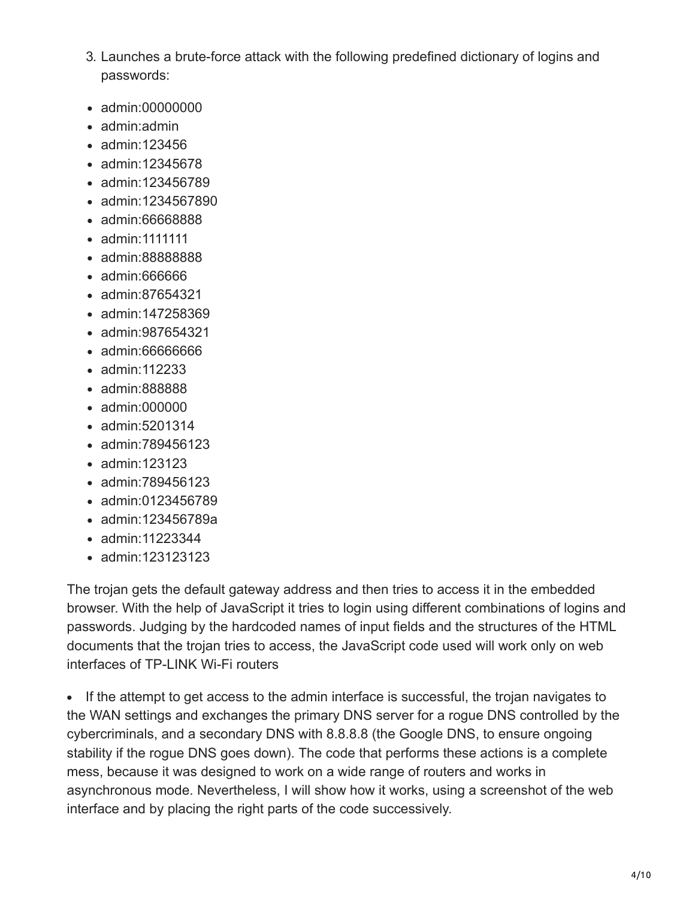- 3. Launches a brute-force attack with the following predefined dictionary of logins and passwords:
- admin:00000000
- admin:admin
- admin:123456
- admin:12345678
- admin:123456789
- admin:1234567890
- admin:66668888
- admin:1111111
- admin:88888888
- admin:666666
- admin:87654321
- admin:147258369
- admin:987654321
- admin:66666666
- admin:112233
- admin:888888
- admin:000000
- admin:5201314
- admin:789456123
- admin:123123
- admin:789456123
- admin:0123456789
- admin:123456789a
- admin:11223344
- admin:123123123

The trojan gets the default gateway address and then tries to access it in the embedded browser. With the help of JavaScript it tries to login using different combinations of logins and passwords. Judging by the hardcoded names of input fields and the structures of the HTML documents that the trojan tries to access, the JavaScript code used will work only on web interfaces of TP-LINK Wi-Fi routers

If the attempt to get access to the admin interface is successful, the trojan navigates to the WAN settings and exchanges the primary DNS server for a rogue DNS controlled by the cybercriminals, and a secondary DNS with 8.8.8.8 (the Google DNS, to ensure ongoing stability if the rogue DNS goes down). The code that performs these actions is a complete mess, because it was designed to work on a wide range of routers and works in asynchronous mode. Nevertheless, I will show how it works, using a screenshot of the web interface and by placing the right parts of the code successively.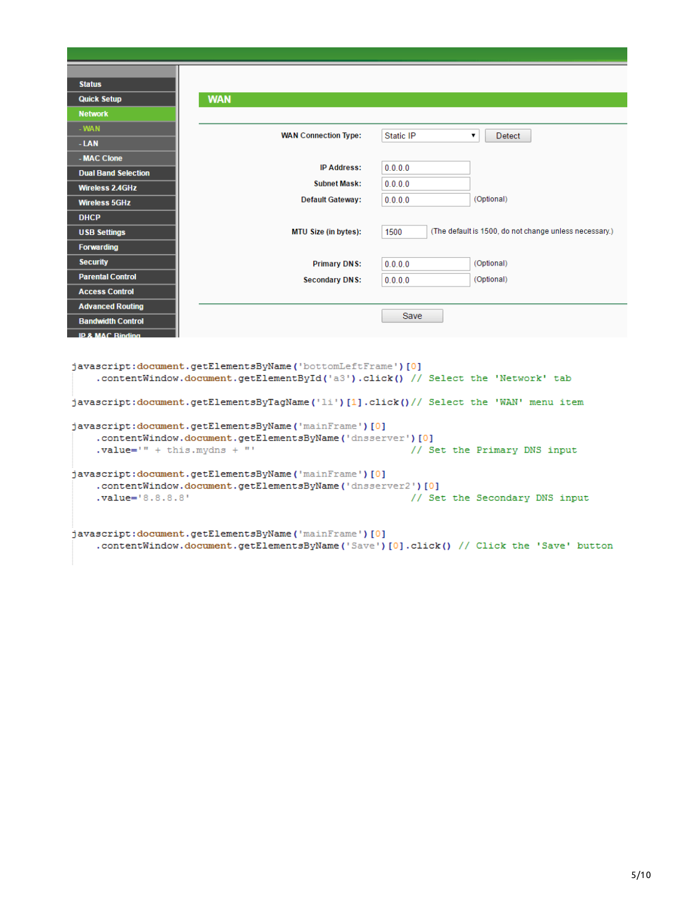| <b>Status</b>                                                                                                                                                                                                                              |                                                                                                                    |                                                                                         |  |  |
|--------------------------------------------------------------------------------------------------------------------------------------------------------------------------------------------------------------------------------------------|--------------------------------------------------------------------------------------------------------------------|-----------------------------------------------------------------------------------------|--|--|
| <b>Quick Setup</b>                                                                                                                                                                                                                         | <b>WAN</b>                                                                                                         |                                                                                         |  |  |
| <b>Network</b>                                                                                                                                                                                                                             |                                                                                                                    |                                                                                         |  |  |
| <b>WAN</b>                                                                                                                                                                                                                                 | <b>WAN Connection Type:</b>                                                                                        | Static IP<br>۷.<br>Detect                                                               |  |  |
| $-LAN$                                                                                                                                                                                                                                     |                                                                                                                    |                                                                                         |  |  |
| - MAC Clone                                                                                                                                                                                                                                | <b>IP Address:</b>                                                                                                 | 0.0.0.0                                                                                 |  |  |
| <b>Dual Band Selection</b>                                                                                                                                                                                                                 | <b>Subnet Mask:</b>                                                                                                |                                                                                         |  |  |
| <b>Wireless 2.4GHz</b>                                                                                                                                                                                                                     |                                                                                                                    | 0.0.0.0                                                                                 |  |  |
| <b>Wireless 5GHz</b>                                                                                                                                                                                                                       | <b>Default Gateway:</b>                                                                                            | (Optional)<br>0.0.0.0                                                                   |  |  |
| <b>DHCP</b>                                                                                                                                                                                                                                |                                                                                                                    |                                                                                         |  |  |
| <b>USB Settings</b>                                                                                                                                                                                                                        | MTU Size (in bytes):                                                                                               | (The default is 1500, do not change unless necessary.)<br>1500                          |  |  |
| <b>Forwarding</b>                                                                                                                                                                                                                          |                                                                                                                    |                                                                                         |  |  |
| <b>Security</b>                                                                                                                                                                                                                            | <b>Primary DNS:</b>                                                                                                | (Optional)<br>0.0.0.0                                                                   |  |  |
| <b>Parental Control</b>                                                                                                                                                                                                                    | <b>Secondary DNS:</b>                                                                                              | (Optional)<br>0.0.0.0                                                                   |  |  |
| <b>Access Control</b>                                                                                                                                                                                                                      |                                                                                                                    |                                                                                         |  |  |
| <b>Advanced Routing</b>                                                                                                                                                                                                                    |                                                                                                                    | Save                                                                                    |  |  |
| <b>Bandwidth Control</b>                                                                                                                                                                                                                   |                                                                                                                    |                                                                                         |  |  |
| <b>ID &amp; MAC Rinding</b>                                                                                                                                                                                                                |                                                                                                                    |                                                                                         |  |  |
| javascript:document.getElementsByName('bottomLeftFrame') [0]<br>.contentWindow.document.getElementById('a3').click() // Select the 'Network' tab<br>javascript:document.getElementsByTagName('li')[1].click()// Select the 'WAN' menu item |                                                                                                                    |                                                                                         |  |  |
|                                                                                                                                                                                                                                            |                                                                                                                    |                                                                                         |  |  |
| .value= $1" + this.my$ dns + "'                                                                                                                                                                                                            | javascript:document.getElementsByName('mainFrame')[0]<br>.contentWindow.document.getElementsByName('dnsserver')[0] | // Set the Primary DNS input                                                            |  |  |
|                                                                                                                                                                                                                                            | javascript:document.getElementsByName('mainFrame')[0]                                                              |                                                                                         |  |  |
|                                                                                                                                                                                                                                            | .contentWindow.document.getElementsByName('dnsserver2')[0]                                                         |                                                                                         |  |  |
| .value='8.8.8.8'                                                                                                                                                                                                                           |                                                                                                                    | // Set the Secondary DNS input                                                          |  |  |
|                                                                                                                                                                                                                                            |                                                                                                                    |                                                                                         |  |  |
|                                                                                                                                                                                                                                            | javascript:document.getElementsByName('mainFrame')[0]                                                              | .contentWindow.document.getElementsByName('Save')[0].click() // Click the 'Save' button |  |  |

```
ascript:<mark>document.getElementsByName('</mark>mainFrame')[0]<br>contentWindow.d<mark>ocument</mark>.getElementsByName('Save')[0].click() // Click the 'Save' button.
```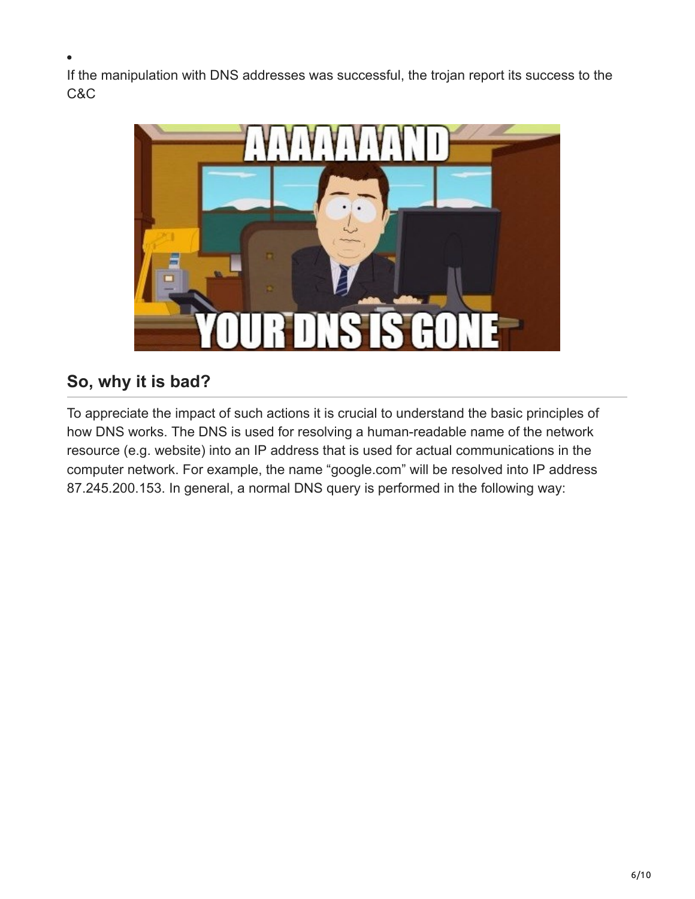If the manipulation with DNS addresses was successful, the trojan report its success to the C&C



## **So, why it is bad?**

 $\bullet$ 

To appreciate the impact of such actions it is crucial to understand the basic principles of how DNS works. The DNS is used for resolving a human-readable name of the network resource (e.g. website) into an IP address that is used for actual communications in the computer network. For example, the name "google.com" will be resolved into IP address 87.245.200.153. In general, a normal DNS query is performed in the following way: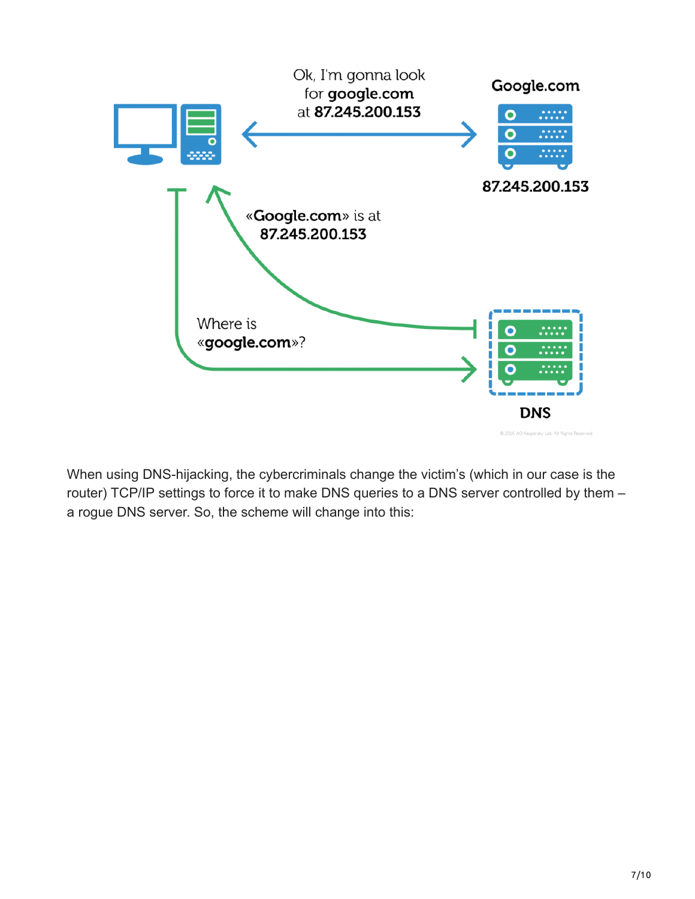

When using DNS-hijacking, the cybercriminals change the victim's (which in our case is the router) TCP/IP settings to force it to make DNS queries to a DNS server controlled by them – a rogue DNS server. So, the scheme will change into this: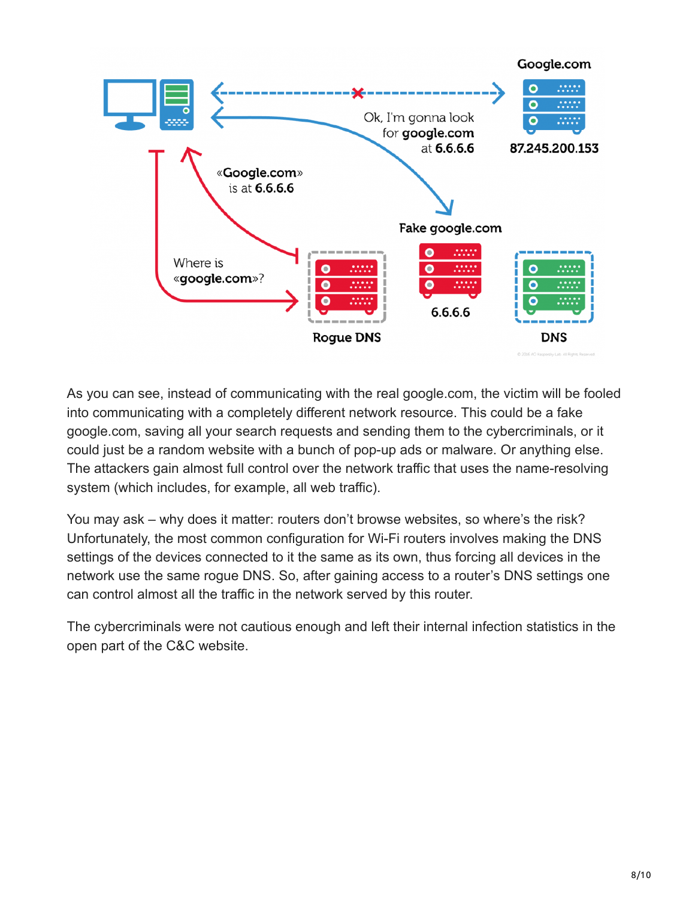

As you can see, instead of communicating with the real google.com, the victim will be fooled into communicating with a completely different network resource. This could be a fake google.com, saving all your search requests and sending them to the cybercriminals, or it could just be a random website with a bunch of pop-up ads or malware. Or anything else. The attackers gain almost full control over the network traffic that uses the name-resolving system (which includes, for example, all web traffic).

You may ask – why does it matter: routers don't browse websites, so where's the risk? Unfortunately, the most common configuration for Wi-Fi routers involves making the DNS settings of the devices connected to it the same as its own, thus forcing all devices in the network use the same rogue DNS. So, after gaining access to a router's DNS settings one can control almost all the traffic in the network served by this router.

The cybercriminals were not cautious enough and left their internal infection statistics in the open part of the C&C website.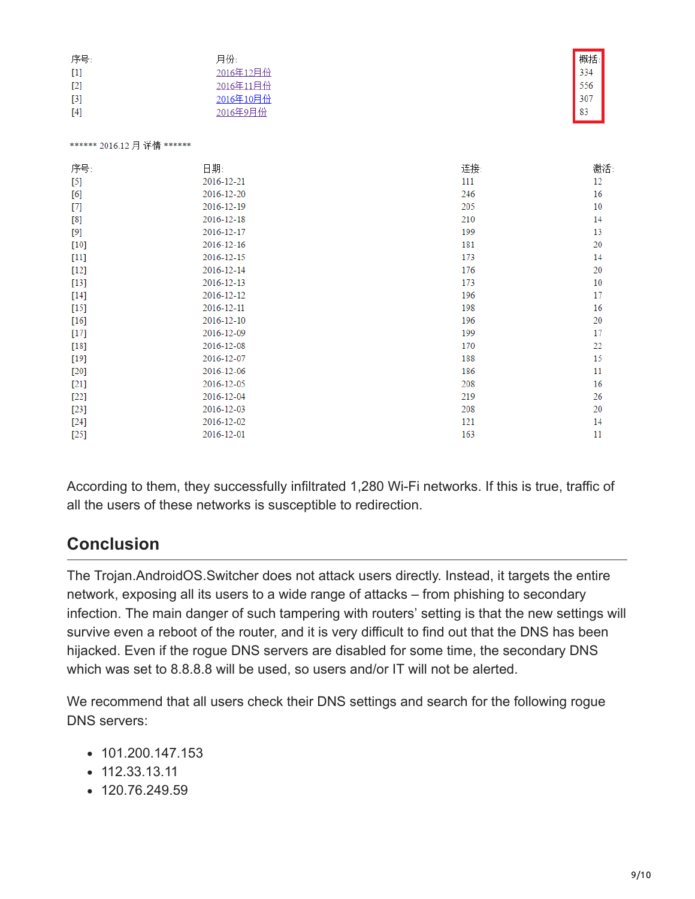| 序号:        | 月份:       |
|------------|-----------|
| [1]        | 2016年12月份 |
| $\Gamma$   | 2016年11月份 |
| [3]        | 2016年10月份 |
| <b>F41</b> | 2016年9月份  |

\*\*\*\*\*\* 2016.12 月详情 \*\*\*\*\*\*

| 序号:      | 日期:        | 连接: | 激活: |
|----------|------------|-----|-----|
| $[5]$    | 2016-12-21 | 111 | 12  |
| [6]      | 2016-12-20 | 246 | 16  |
| $[7]$    | 2016-12-19 | 205 | 10  |
| $^{[8]}$ | 2016-12-18 | 210 | 14  |
| $[9]$    | 2016-12-17 | 199 | 13  |
| $[10]$   | 2016-12-16 | 181 | 20  |
| $[11]$   | 2016-12-15 | 173 | 14  |
| $[12]$   | 2016-12-14 | 176 | 20  |
| $[13]$   | 2016-12-13 | 173 | 10  |
| $[14]$   | 2016-12-12 | 196 | 17  |
| $[15]$   | 2016-12-11 | 198 | 16  |
| $[16]$   | 2016-12-10 | 196 | 20  |
| $[17]$   | 2016-12-09 | 199 | 17  |
| $[18]$   | 2016-12-08 | 170 | 22  |
| $[19]$   | 2016-12-07 | 188 | 15  |
| $[20]$   | 2016-12-06 | 186 | 11  |
| $[21]$   | 2016-12-05 | 208 | 16  |
| $[22]$   | 2016-12-04 | 219 | 26  |
| $[23]$   | 2016-12-03 | 208 | 20  |
| $[24]$   | 2016-12-02 | 121 | 14  |
| $[25]$   | 2016-12-01 | 163 | 11  |

According to them, they successfully infiltrated 1,280 Wi-Fi networks. If this is true, traffic of all the users of these networks is susceptible to redirection.

#### **Conclusion**

The Trojan.AndroidOS.Switcher does not attack users directly. Instead, it targets the entire network, exposing all its users to a wide range of attacks – from phishing to secondary infection. The main danger of such tampering with routers' setting is that the new settings will survive even a reboot of the router, and it is very difficult to find out that the DNS has been hijacked. Even if the rogue DNS servers are disabled for some time, the secondary DNS which was set to 8.8.8.8 will be used, so users and/or IT will not be alerted.

We recommend that all users check their DNS settings and search for the following rogue DNS servers:

- $\cdot$  101.200.147.153
- 112.33.13.11
- $\cdot$  120.76.249.59